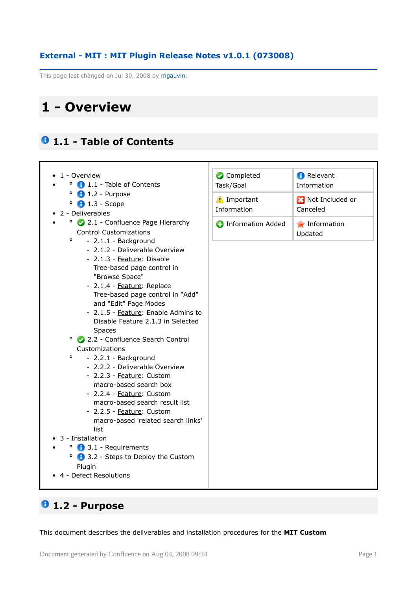## **External - MIT : MIT Plugin Release Notes v1.0.1 (073008)**

This page last changed on Jul 30, 2008 by mgauvin.

# **1 - Overview**

# **1.1 - Table of Contents**



# **1.2 - Purpose**

This document describes the deliverables and installation procedures for the **MIT Custom**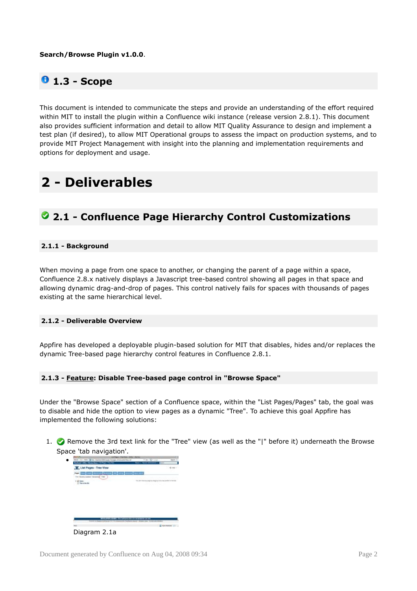#### **Search/Browse Plugin v1.0.0**.

# **0** 1.3 - Scope

This document is intended to communicate the steps and provide an understanding of the effort required within MIT to install the plugin within a Confluence wiki instance (release version 2.8.1). This document also provides sufficient information and detail to allow MIT Quality Assurance to design and implement a test plan (if desired), to allow MIT Operational groups to assess the impact on production systems, and to provide MIT Project Management with insight into the planning and implementation requirements and options for deployment and usage.

# **2 - Deliverables**

# **2.1 - Confluence Page Hierarchy Control Customizations**

### **2.1.1 - Background**

When moving a page from one space to another, or changing the parent of a page within a space, Confluence 2.8.x natively displays a Javascript tree-based control showing all pages in that space and allowing dynamic drag-and-drop of pages. This control natively fails for spaces with thousands of pages existing at the same hierarchical level.

#### **2.1.2 - Deliverable Overview**

Appfire has developed a deployable plugin-based solution for MIT that disables, hides and/or replaces the dynamic Tree-based page hierarchy control features in Confluence 2.8.1.

#### **2.1.3 - Feature: Disable Tree-based page control in "Browse Space"**

Under the "Browse Space" section of a Confluence space, within the "List Pages/Pages" tab, the goal was to disable and hide the option to view pages as a dynamic "Tree". To achieve this goal Appfire has implemented the following solutions:

1. **C** Remove the 3rd text link for the "Tree" view (as well as the "|" before it) underneath the Browse Space 'tab navigation'.

| chust vidits - Some huge + to figure - for the                                                                                                             | <b>Rain + Reine Monetary +</b><br>$\overline{\phantom{a}}$                 |
|------------------------------------------------------------------------------------------------------------------------------------------------------------|----------------------------------------------------------------------------|
| List Pages - Tree View                                                                                                                                     |                                                                            |
| <b>NAMES &amp; BLACK</b>                                                                                                                                   |                                                                            |
| Free 1<br>÷                                                                                                                                                | <b><i><u>Lives</u></i></b><br><b>CONTRACTOR</b>                            |
| <b>C. Stelle Inc. Max</b>                                                                                                                                  | to all to fund only projects, incept up it this form continue or that that |
|                                                                                                                                                            | HIS OCTOBE                                                                 |
|                                                                                                                                                            |                                                                            |
|                                                                                                                                                            |                                                                            |
|                                                                                                                                                            |                                                                            |
|                                                                                                                                                            |                                                                            |
|                                                                                                                                                            |                                                                            |
|                                                                                                                                                            |                                                                            |
|                                                                                                                                                            |                                                                            |
|                                                                                                                                                            |                                                                            |
|                                                                                                                                                            |                                                                            |
| MPGLPUL/LENG Tra certamints to research as ML<br>of Screenware Russell ages dead the COM McMobile<br><b><i><u>Property in the property of the </u></i></b> |                                                                            |

Diagram 2.1a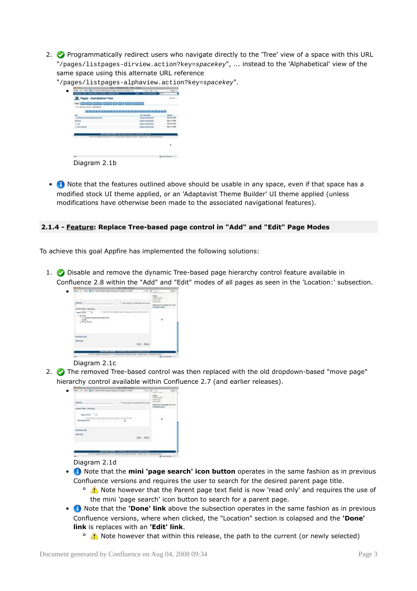2. Programmatically redirect users who navigate directly to the 'Tree' view of a space with this URL "/pages/listpages-dirview.action?key=spacekey", ... instead to the 'Alphabetical' view of the same space using this alternate URL reference

| "/pages/listpages-alphaview.action?key=spacekey". |  |
|---------------------------------------------------|--|
|---------------------------------------------------|--|

| AT ABRIL TO                        |                                                                                                                                                          |
|------------------------------------|----------------------------------------------------------------------------------------------------------------------------------------------------------|
|                                    |                                                                                                                                                          |
| store bake                         |                                                                                                                                                          |
| --                                 |                                                                                                                                                          |
| <b><i><u>Sistema India</u></i></b> |                                                                                                                                                          |
|                                    |                                                                                                                                                          |
|                                    |                                                                                                                                                          |
|                                    |                                                                                                                                                          |
|                                    |                                                                                                                                                          |
|                                    |                                                                                                                                                          |
|                                    | 000000000000000000000000000<br>sever level comer will be compatible to constraint an on-<br>ANALTA LIN LAGACA RE PAPPELA WAS "Phone-rent Clicks adverses |

Diagram 2.1b

• **•** Note that the features outlined above should be usable in any space, even if that space has a modified stock UI theme applied, or an 'Adaptavist Theme Builder' UI theme applied (unless modifications have otherwise been made to the associated navigational features).

#### **2.1.4 - Feature: Replace Tree-based page control in "Add" and "Edit" Page Modes**

To achieve this goal Appfire has implemented the following solutions:

1.  $\bullet$  Disable and remove the dynamic Tree-based page hierarchy control feature available in Confluence 2.8 within the "Add" and "Edit" modes of all pages as seen in the 'Location:' subsection.



#### Diagram 2.1c

•

2. The removed Tree-based control was then replaced with the old dropdown-based "move page" hierarchy control available within Confluence 2.7 (and earlier releases).

|                                              | The market and construct                                          |                 |
|----------------------------------------------|-------------------------------------------------------------------|-----------------|
| see 1.60y 1. New Jers.                       |                                                                   | <b>DECK AND</b> |
| et little                                    |                                                                   |                 |
| Kingstrike does sings last<br><b>Capital</b> | the dopy in this students as today<br>the city strength of player |                 |
|                                              |                                                                   |                 |
|                                              |                                                                   |                 |
|                                              |                                                                   |                 |
|                                              |                                                                   |                 |

#### Diagram 2.1d

- **O** Note that the **mini 'page search' icon button** operates in the same fashion as in previous Confluence versions and requires the user to search for the desired parent page title.
	- <sup>o</sup> A Note however that the Parent page text field is now 'read only' and requires the use of the mini 'page search' icon button to search for a parent page.
- **n** Note that the **'Done' link** above the subsection operates in the same fashion as in previous Confluence versions, where when clicked, the "Location" section is colapsed and the **'Done' link** is replaces with an **'Edit' link**.
	- <sup>o</sup> A. Note however that within this release, the path to the current (or newly selected)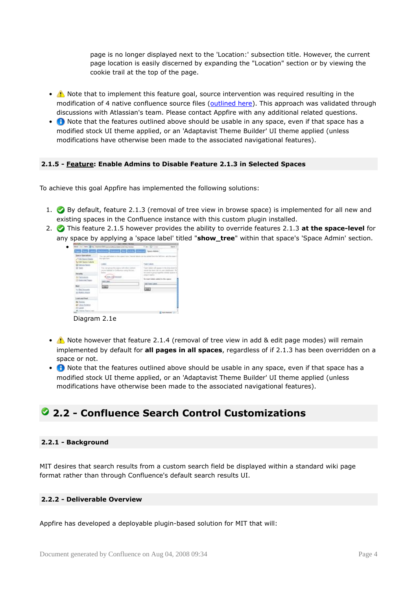page is no longer displayed next to the 'Location:' subsection title. However, the current page location is easily discerned by expanding the "Location" section or by viewing the cookie trail at the top of the page.

- A Note that to implement this feature goal, source intervention was required resulting in the modification of 4 native confluence source files [\(outlined](http://wiki.appfire.com/download/attachments/9241453/native+and+custom+files.zip?version=1) here). This approach was validated through discussions with Atlassian's team. Please contact Appfire with any additional related questions.
- **O** Note that the features outlined above should be usable in any space, even if that space has a modified stock UI theme applied, or an 'Adaptavist Theme Builder' UI theme applied (unless modifications have otherwise been made to the associated navigational features).

### **2.1.5 - Feature: Enable Admins to Disable Feature 2.1.3 in Selected Spaces**

To achieve this goal Appfire has implemented the following solutions:

- 1. By default, feature 2.1.3 (removal of tree view in browse space) is implemented for all new and existing spaces in the Confluence instance with this custom plugin installed.
- 2. This feature 2.1.5 however provides the ability to override features 2.1.3 **at the space-level** for any space by applying a 'space label' titled "**show\_tree**" within that space's 'Space Admin' section.



Diagram 2.1e

- A Note however that feature 2.1.4 (removal of tree view in add & edit page modes) will remain implemented by default for **all pages in all spaces**, regardless of if 2.1.3 has been overridden on a space or not.
- **O** Note that the features outlined above should be usable in any space, even if that space has a modified stock UI theme applied, or an 'Adaptavist Theme Builder' UI theme applied (unless modifications have otherwise been made to the associated navigational features).

# **2.2 - Confluence Search Control Customizations**

#### **2.2.1 - Background**

MIT desires that search results from a custom search field be displayed within a standard wiki page format rather than through Confluence's default search results UI.

#### **2.2.2 - Deliverable Overview**

Appfire has developed a deployable plugin-based solution for MIT that will: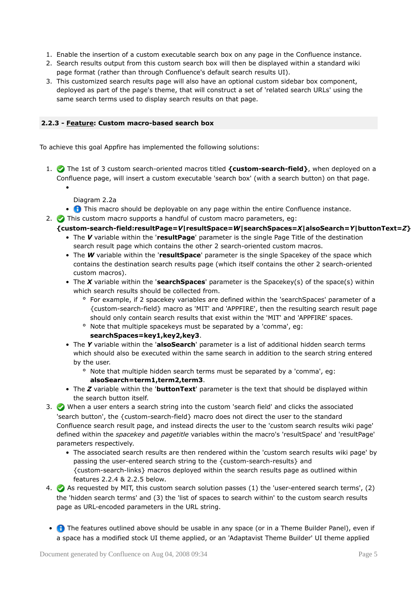- 1. Enable the insertion of a custom executable search box on any page in the Confluence instance.
- 2. Search results output from this custom search box will then be displayed within a standard wiki page format (rather than through Confluence's default search results UI).
- 3. This customized search results page will also have an optional custom sidebar box component, deployed as part of the page's theme, that will construct a set of 'related search URLs' using the same search terms used to display search results on that page.

### **2.2.3 - Feature: Custom macro-based search box**

To achieve this goal Appfire has implemented the following solutions:

- 1. The 1st of 3 custom search-oriented macros titled **{custom-search-field}**, when deployed on a Confluence page, will insert a custom executable 'search box' (with a search button) on that page.
	- Diagram 2.2a

•

- **This macro should be deployable on any page within the entire Confluence instance.**
- 2. This custom macro supports a handful of custom macro parameters, eg:
	- **{custom-search-field:resultPage=***V***|resultSpace=***W***|searchSpaces=***X***|alsoSearch=***Y***|buttonText=***Z***}**
		- The *V* variable within the '**resultPage**' parameter is the single Page Title of the destination search result page which contains the other 2 search-oriented custom macros.
		- The *W* variable within the '**resultSpace**' parameter is the single Spacekey of the space which contains the destination search results page (which itself contains the other 2 search-oriented custom macros).
		- The *X* variable within the '**searchSpaces**' parameter is the Spacekey(s) of the space(s) within which search results should be collected from.
			- ° For example, if 2 spacekey variables are defined within the 'searchSpaces' parameter of a {custom-search-field} macro as 'MIT' and 'APPFIRE', then the resulting search result page should only contain search results that exist within the 'MIT' and 'APPFIRE' spaces.
			- ° Note that multiple spacekeys must be separated by a 'comma', eg:

## **searchSpaces=key1,key2,key3**.

- The *Y* variable within the '**alsoSearch**' parameter is a list of additional hidden search terms which should also be executed within the same search in addition to the search string entered by the user.
	- ° Note that multiple hidden search terms must be separated by a 'comma', eg: **alsoSearch=term1,term2,term3**.
- The *Z* variable within the '**buttonText**' parameter is the text that should be displayed within the search button itself.
- 3. When a user enters a search string into the custom 'search field' and clicks the associated 'search button', the {custom-search-field} macro does not direct the user to the standard Confluence search result page, and instead directs the user to the 'custom search results wiki page' defined within the *spacekey* and *pagetitle* variables within the macro's 'resultSpace' and 'resultPage' parameters respectively.
	- The associated search results are then rendered within the 'custom search results wiki page' by passing the user-entered search string to the {custom-search-results} and {custom-search-links} macros deployed within the search results page as outlined within features 2.2.4 & 2.2.5 below.
- 4. As requested by MIT, this custom search solution passes (1) the 'user-entered search terms', (2) the 'hidden search terms' and (3) the 'list of spaces to search within' to the custom search results page as URL-encoded parameters in the URL string.
- **O** The features outlined above should be usable in any space (or in a Theme Builder Panel), even if a space has a modified stock UI theme applied, or an 'Adaptavist Theme Builder' UI theme applied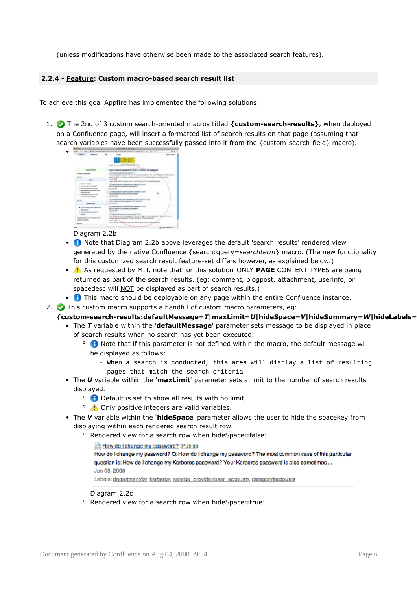(unless modifications have otherwise been made to the associated search features).

#### **2.2.4 - Feature: Custom macro-based search result list**

To achieve this goal Appfire has implemented the following solutions:

1. The 2nd of 3 custom search-oriented macros titled **{custom-search-results}**, when deployed on a Confluence page, will insert a formatted list of search results on that page (assuming that search variables have been successfully passed into it from the {custom-search-field} macro).

|                                                                         | her.<br>Costs.                                                                                                                                                                  | List AL AVA        |
|-------------------------------------------------------------------------|---------------------------------------------------------------------------------------------------------------------------------------------------------------------------------|--------------------|
| <b>Detection</b><br><b>SHELL</b>                                        |                                                                                                                                                                                 |                    |
|                                                                         | <b>TRMFS</b>                                                                                                                                                                    |                    |
|                                                                         | lines to overall like in trivials with the                                                                                                                                      |                    |
|                                                                         |                                                                                                                                                                                 |                    |
| Contribute                                                              | Found Lasenb results for Fire do I shares throwered                                                                                                                             |                    |
| To over mated keep                                                      | climates staggleforement mans-                                                                                                                                                  |                    |
| <b>MAINS</b>                                                            | The in-threp in consent that is thoughts associated the ten college state of the automatic<br>paints of the EU Public ty fields a paint of "third of the research and solvening |                    |
| Tank I                                                                  | Joseph Allen                                                                                                                                                                    |                    |
|                                                                         | Local Investments system largest announced amount approximation                                                                                                                 |                    |
| 1. Management Ave.                                                      | This is a finally think as a final and the above to all the                                                                                                                     |                    |
| A result of a builder and                                               | Fire in the government story or water of                                                                                                                                        |                    |
| A 199 method of situated<br>4. The first design and product the college | hand in ander                                                                                                                                                                   |                    |
| <b>INSURANCE</b>                                                        | Threat Antenna Avenue and the assembly from                                                                                                                                     |                    |
| 4. Whether the surfaces to this that                                    | First also completes productions must procedure                                                                                                                                 |                    |
| change and partition?                                                   | later are around                                                                                                                                                                |                    |
| <b>Ballion</b>                                                          | THE R UNIVERSITY ARE ANOTHER FOR THE THEFT<br>that is share in what support will find the                                                                                       |                    |
| <b>SHOW AND</b>                                                         | <b>Senation Antique</b>                                                                                                                                                         |                    |
|                                                                         | The American Section Avenue and Con-                                                                                                                                            |                    |
| · But his company and applicable                                        | fore de l'oberger du Dose Plasmoutevalence de                                                                                                                                   |                    |
| 1. Charactered<br>7 Post Microsoft Lewis Council                        | ting in John                                                                                                                                                                    |                    |
| <b>Shower</b>                                                           | The A Meanwhile response of Print                                                                                                                                               |                    |
|                                                                         | the of University Perfect construct in the dominary in the book probability position and                                                                                        |                    |
| STREETED AT ATTICK WITH AINE AT ANN<br><b>MEANS AIREA</b>               | inexpensional its agents' visit and transportations and                                                                                                                         |                    |
|                                                                         | An in which TV                                                                                                                                                                  |                    |
| <b>BALLEY</b>                                                           | USING MODELLA ANTIMATIONS AND COMPANY OF                                                                                                                                        | the service and us |

Diagram 2.2b

- **n** Note that Diagram 2.2b above leverages the default 'search results' rendered view generated by the native Confluence {search:query=*searchterm*} macro. (The new functionality for this customized search result feature-set differs however, as explained below.)
- As requested by MIT, note that for this solution ONLY PAGE CONTENT TYPES are being returned as part of the search results. (eg: comment, blogpost, attachment, userinfo, or spacedesc will NOT be displayed as part of search results.)
- **O** This macro should be deployable on any page within the entire Confluence instance.

2. This custom macro supports a handful of custom macro parameters, eg:

## {custom-search-results:defaultMessage=7|maxLimit=U|hideSpace=V|hideSummary=W|hideLabels=

- The *T* variable within the '**defaultMessage**' parameter sets message to be displayed in place of search results when no search has yet been executed.
	- <sup>o</sup> **O** Note that if this parameter is not defined within the macro, the default message will be displayed as follows:
		- When a search is conducted, this area will display a list of resulting pages that match the search criteria.
- The *U* variable within the '**maxLimit**' parameter sets a limit to the number of search results displayed.
	- <sup>o</sup> **O** Default is set to show all results with no limit.
	- <sup>o</sup> Conly positive integers are valid variables.
- The *V* variable within the '**hideSpace**' parameter allows the user to hide the spacekey from displaying within each rendered search result row.
	- ° Rendered view for a search row when hideSpace=false:

How do I change my password? (Public) How do I change my password? Q: How do I change my password? The most common case of this particular question is: How do I change my Kerberos password? Your Kerberos password is also sometimes ... Jun 03, 2008 Labels: department/ist, kerberos, service\_provider/user\_accounts, category/accounts

Diagram 2.2c

° Rendered view for a search row when hideSpace=true: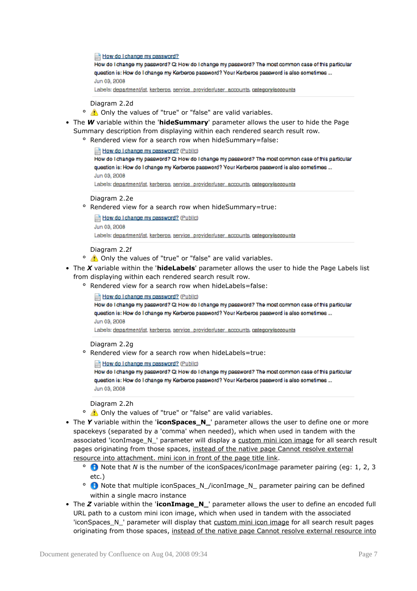How do I change my password?

How do I change my password? Q: How do I change my password? The most common case of this particular question is: How do I change my Kerberos password? Your Kerberos password is also sometimes ... Jun 03, 2008

Labels: department/ist, kerberos, service\_provider/user\_accounts, category/accounts

Diagram 2.2d

- <sup>o</sup> **C** Only the values of "true" or "false" are valid variables.
- The *W* variable within the '**hideSummary**' parameter allows the user to hide the Page Summary description from displaying within each rendered search result row.
	- ° Rendered view for a search row when hideSummary=false:

How do I change my password? (Public)

How do I change my password? Q: How do I change my password? The most common case of this particular question is: How do I change my Kerberos password? Your Kerberos password is also sometimes ... Jun 03, 2008

Labels: department/ist, kerberos, service\_provider/user\_accounts, category/accounts

#### Diagram 2.2e

° Rendered view for a search row when hideSummary=true:

How do I change my password? (Public)

Jun 03, 2008

Labels: department/ist, kerberos, service\_provider/user\_accounts, category/accounts

#### Diagram 2.2f

- <sup>o</sup> **C** Only the values of "true" or "false" are valid variables.
- The *X* variable within the '**hideLabels**' parameter allows the user to hide the Page Labels list from displaying within each rendered search result row.
	- ° Rendered view for a search row when hideLabels=false:

#### How do I change my password? (Public)

How do I change my password? Q: How do I change my password? The most common case of this particular question is: How do I change my Kerberos password? Your Kerberos password is also sometimes ... Jun 03, 2008

Labels: department/ist, kerberos, service\_provider/user\_accounts, category/accounts

#### Diagram 2.2g

° Rendered view for a search row when hideLabels=true:

#### How do I change my password? (Public)

How do I change my password? Q: How do I change my password? The most common case of this particular question is: How do I change my Kerberos password? Your Kerberos password is also sometimes ... Jun 03, 2008

Diagram 2.2h

- <sup>o</sup> **C** Only the values of "true" or "false" are valid variables.
- The *Y* variable within the '**iconSpaces\_N\_**' parameter allows the user to define one or more spacekeys (separated by a 'comma' when needed), which when used in tandem with the associated 'iconImage\_N\_' parameter will display a custom mini icon image for all search result pages originating from those spaces, instead of the native page Cannot resolve external resource into attachment. mini icon in front of the page title link.
	- ° Note that *N* is the number of the iconSpaces/iconImage parameter pairing (eg: 1, 2, 3 etc.)
	- ° Note that multiple iconSpaces\_N\_/iconImage\_N\_ parameter pairing can be defined within a single macro instance
- The *Z* variable within the '**iconImage\_N\_**' parameter allows the user to define an encoded full URL path to a custom mini icon image, which when used in tandem with the associated 'iconSpaces N ' parameter will display that custom mini icon image for all search result pages originating from those spaces, instead of the native page Cannot resolve external resource into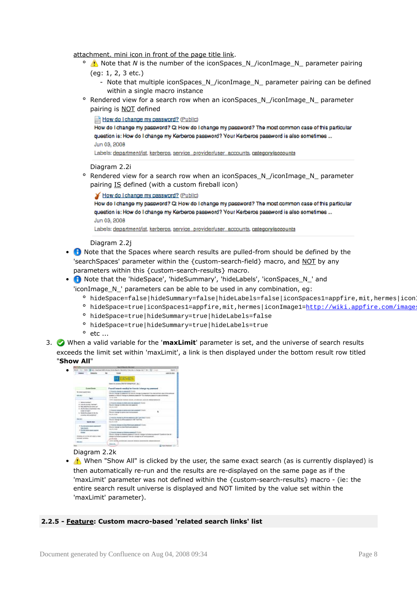attachment. mini icon in front of the page title link.

- <sup>o</sup> **A** Note that *N* is the number of the iconSpaces\_N\_/iconImage\_N\_ parameter pairing
	- (eg: 1, 2, 3 etc.)
		- Note that multiple iconSpaces\_N\_/iconImage\_N\_ parameter pairing can be defined within a single macro instance
- ° Rendered view for a search row when an iconSpaces\_N\_/iconImage\_N\_ parameter pairing is NOT defined
	- How do I change my password? (Public)

How do I change my password? Q: How do I change my password? The most common case of this particular question is: How do I change my Kerberos password? Your Kerberos password is also sometimes ... Jun 03, 2008

Labels: department/ist, kerberos, service\_provider/user\_accounts, category/accounts

#### Diagram 2.2i

° Rendered view for a search row when an iconSpaces\_N\_/iconImage\_N\_ parameter pairing IS defined (with a custom fireball icon)

#### How do I change my password? (Public)

How do I change my password? Q: How do I change my password? The most common case of this particular question is: How do I change my Kerberos password? Your Kerberos password is also sometimes ... Jun 03, 2008

Labels: department/ist. kerberos, service\_provider/user\_accounts, category/accounts

#### Diagram 2.2j

- Note that the Spaces where search results are pulled-from should be defined by the 'searchSpaces' parameter within the {custom-search-field} macro, and NOT by any parameters within this {custom-search-results} macro.
- Note that the 'hideSpace', 'hideSummary', 'hideLabels', 'iconSpaces\_N\_' and
	- 'iconImage\_N\_' parameters can be able to be used in any combination, eg:
		- ° hideSpace=false|hideSummary=false|hideLabels=false|iconSpaces1=appfire,mit,hermes|icon
		- ° hideSpace=true|iconSpaces1=appfire,mit,hermes|iconImage1=http://wiki.appfire.com/image;
		- ° hideSpace=true|hideSummary=true|hideLabels=false
		- ° hideSpace=true|hideSummary=true|hideLabels=true
		- $^{\circ}$  etc ...
- 3. When a valid variable for the '**maxLimit**' parameter is set, and the universe of search results exceeds the limit set within 'maxLimit', a link is then displayed under the bottom result row titled "**Show All**"



## Diagram 2.2k

•  $\triangle$  When "Show All" is clicked by the user, the same exact search (as is currently displayed) is then automatically re-run and the results are re-displayed on the same page as if the 'maxLimit' parameter was not defined within the {custom-search-results} macro - (ie: the entire search result universe is displayed and NOT limited by the value set within the 'maxLimit' parameter).

## **2.2.5 - Feature: Custom macro-based 'related search links' list**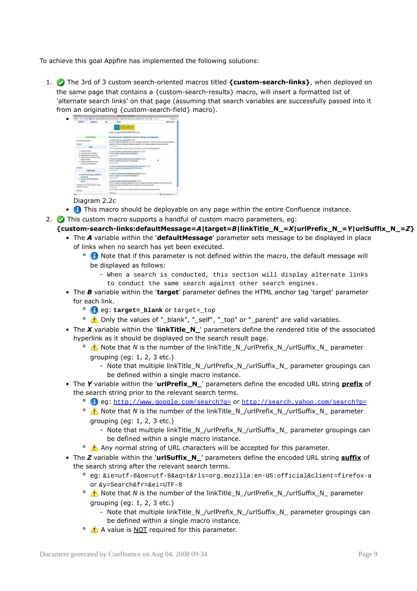To achieve this goal Appfire has implemented the following solutions:

1. The 3rd of 3 custom search-oriented macros titled **{custom-search-links}**, when deployed on the same page that contains a {custom-search-results} macro, will insert a formatted list of 'alternate search links' on that page (assuming that search variables are successfully passed into it from an originating {custom-search-field} macro).



## Diagram 2.2c

- **O** This macro should be deployable on any page within the entire Confluence instance.
- 2. This custom macro supports a handful of custom macro parameters, eg:

## **{custom-search-links:defaultMessage=***A***|target=***B***|linkTitle\_N\_=***X***|urlPrefix\_N\_=***Y***|urlSuffix\_N\_=***Z***}**

- The *A* variable within the '**defaultMessage**' parameter sets message to be displayed in place of links when no search has yet been executed.
	- ° Note that if this parameter is not defined within the macro, the default message will be displayed as follows:
		- When a search is conducted, this section will display alternate links to conduct the same search against other search engines.
- The *B* variable within the '**target**' parameter defines the HTML anchor tag 'target' parameter for each link.
	- <sup>o</sup> **eg: target=\_blank** or target=\_top
	- <sup>o</sup> **A** Only the values of "\_blank", "\_self", "\_top" or "\_parent" are valid variables.
- The *X* variable within the 'linkTitle N ' parameters define the rendered title of the associated hyperlink as it should be displayed on the search result page.
	- <sup>o</sup> **A** Note that *N* is the number of the linkTitle N /urlPrefix N /urlSuffix N parameter grouping (eg: 1, 2, 3 etc.)
		- Note that multiple linkTitle\_N\_/urlPrefix\_N\_/urlSuffix\_N\_ parameter groupings can be defined within a single macro instance.
- The *Y* variable within the '**urlPrefix\_N\_**' parameters define the encoded URL string **prefix** of the search string prior to the relevant search terms.
	- ° eg: <http://www.google.com/search?q=> or <http://search.yahoo.com/search?p=>
	- <sup>o</sup>  $\Lambda$  Note that *N* is the number of the linkTitle\_N\_/urlPrefix\_N\_/urlSuffix\_N\_ parameter grouping (eg: 1, 2, 3 etc.)
		- Note that multiple linkTitle\_N\_/urlPrefix\_N\_/urlSuffix\_N\_ parameter groupings can be defined within a single macro instance.
	- <sup>o</sup> Any normal string of URL characters will be accepted for this parameter.
- The *Z* variable within the '**urlSuffix\_N\_**' parameters define the encoded URL string **suffix** of the search string after the relevant search terms.
	- ° eg: &ie=utf-8&oe=utf-8&aq=t&rls=org.mozilla:en-US:official&client=firefox-a or &y=Search&fr=&ei=UTF-8
	- <sup>o</sup> **A** Note that *N* is the number of the linkTitle\_N\_/urlPrefix\_N\_/urlSuffix\_N\_ parameter grouping (eg: 1, 2, 3 etc.)
		- Note that multiple linkTitle\_N\_/urlPrefix\_N\_/urlSuffix\_N\_ parameter groupings can be defined within a single macro instance.
	- <sup>o</sup> A value is NOT required for this parameter.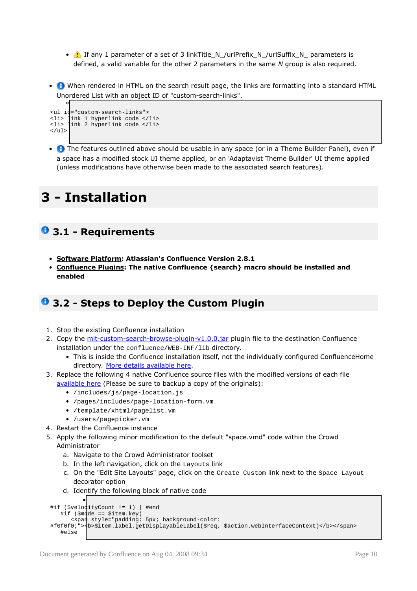- **1** If any 1 parameter of a set of 3 linkTitle\_N\_/urlPrefix\_N\_/urlSuffix\_N\_ parameters is defined, a valid variable for the other 2 parameters in the same *N* group is also required.
- **O** When rendered in HTML on the search result page, the links are formatting into a standard HTML Unordered List with an object ID of "custom-search-links".

```
°
<ul id="custom-search-links">
<li> link 1 hyperlink code </li>
<li> link 2 hyperlink code </li>
</ul>
```
• **•** The features outlined above should be usable in any space (or in a Theme Builder Panel), even if a space has a modified stock UI theme applied, or an 'Adaptavist Theme Builder' UI theme applied (unless modifications have otherwise been made to the associated search features).

# **3 - Installation**

# **3.1 - Requirements**

- **Software Platform: Atlassian's Confluence Version 2.8.1**
- **Confluence Plugins: The native Confluence {search} macro should be installed and enabled**

# **3.2 - Steps to Deploy the Custom Plugin**

- 1. Stop the existing Confluence installation
- 2. Copy the [mit-custom-search-browse-plugin-v1.0.0.jar](http://wiki.appfire.com/download/attachments/9241453/mit-custom-search-browse-plugin-v1.0.0.jar?version=1) plugin file to the destination Confluence installation under the confluence/WEB-INF/lib directory.
	- This is inside the Confluence installation itself, not the individually configured ConfluenceHome directory. More details [available](http://confluence.atlassian.com/display/DOC/Installing+and+Configuring+Plugins+manually) here.
- 3. Replace the following 4 native Confluence source files with the modified versions of each file [available](http://wiki.appfire.com/download/attachments/9241453/native+and+custom+files.zip?version=1) here (Please be sure to backup a copy of the originals):
	- /includes/js/page-location.js
	- /pages/includes/page-location-form.vm
	- /template/xhtml/pagelist.vm
	- /users/pagepicker.vm
- 4. Restart the Confluence instance
- 5. Apply the following minor modification to the default "space.vmd" code within the Crowd Administrator
	- a. Navigate to the Crowd Administrator toolset
	- b. In the left navigation, click on the Layouts link
	- c. On the "Edit Site Layouts" page, click on the Create Custom link next to the Space Layout decorator option
	- d. Identify the following block of native code

```
•
#if ($velocityCount != 1) | #end
   #if ($mode == $item.key)
      <span style="padding: 5px; background-color:
#f0f0f0;"><b>$item.label.getDisplayableLabel($req, $action.webInterfaceContext)</b></span>
   #else
```